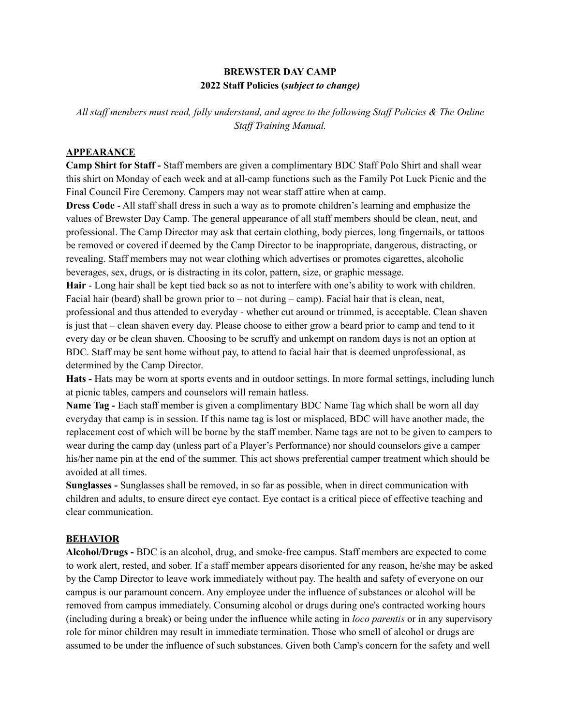## **BREWSTER DAY CAMP 2022 Staff Policies (***subject to change)*

*All staf members must read, fully understand, and agree to the following Staf Policies & The Online Staf Training Manual.*

#### **APPEARANCE**

**Camp Shirt for Staff -** Staff members are given a complimentary BDC Staff Polo Shirt and shall wear this shirt on Monday of each week and at all-camp functions such as the Family Pot Luck Picnic and the Final Council Fire Ceremony. Campers may not wear staff attire when at camp.

**Dress Code** - All staff shall dress in such a way as to promote children's learning and emphasize the values of Brewster Day Camp. The general appearance of all staff members should be clean, neat, and professional. The Camp Director may ask that certain clothing, body pierces, long fingernails, or tattoos be removed or covered if deemed by the Camp Director to be inappropriate, dangerous, distracting, or revealing. Staff members may not wear clothing which advertises or promotes cigarettes, alcoholic beverages, sex, drugs, or is distracting in its color, pattern, size, or graphic message.

**Hair** - Long hair shall be kept tied back so as not to interfere with one's ability to work with children. Facial hair (beard) shall be grown prior to  $-$  not during  $-$  camp). Facial hair that is clean, neat, professional and thus attended to everyday - whether cut around or trimmed, is acceptable. Clean shaven is just that – clean shaven every day. Please choose to either grow a beard prior to camp and tend to it every day or be clean shaven. Choosing to be scruffy and unkempt on random days is not an option at BDC. Staff may be sent home without pay, to attend to facial hair that is deemed unprofessional, as determined by the Camp Director.

**Hats -** Hats may be worn at sports events and in outdoor settings. In more formal settings, including lunch at picnic tables, campers and counselors will remain hatless.

**Name Tag -** Each staff member is given a complimentary BDC Name Tag which shall be worn all day everyday that camp is in session. If this name tag is lost or misplaced, BDC will have another made, the replacement cost of which will be borne by the staff member. Name tags are not to be given to campers to wear during the camp day (unless part of a Player's Performance) nor should counselors give a camper his/her name pin at the end of the summer. This act shows preferential camper treatment which should be avoided at all times.

**Sunglasses -** Sunglasses shall be removed, in so far as possible, when in direct communication with children and adults, to ensure direct eye contact. Eye contact is a critical piece of effective teaching and clear communication.

#### **BEHAVIOR**

**Alcohol/Drugs -** BDC is an alcohol, drug, and smoke-free campus. Staff members are expected to come to work alert, rested, and sober. If a staff member appears disoriented for any reason, he/she may be asked by the Camp Director to leave work immediately without pay. The health and safety of everyone on our campus is our paramount concern. Any employee under the influence of substances or alcohol will be removed from campus immediately. Consuming alcohol or drugs during one's contracted working hours (including during a break) or being under the influence while acting in *loco parentis* or in any supervisory role for minor children may result in immediate termination. Those who smell of alcohol or drugs are assumed to be under the influence of such substances. Given both Camp's concern for the safety and well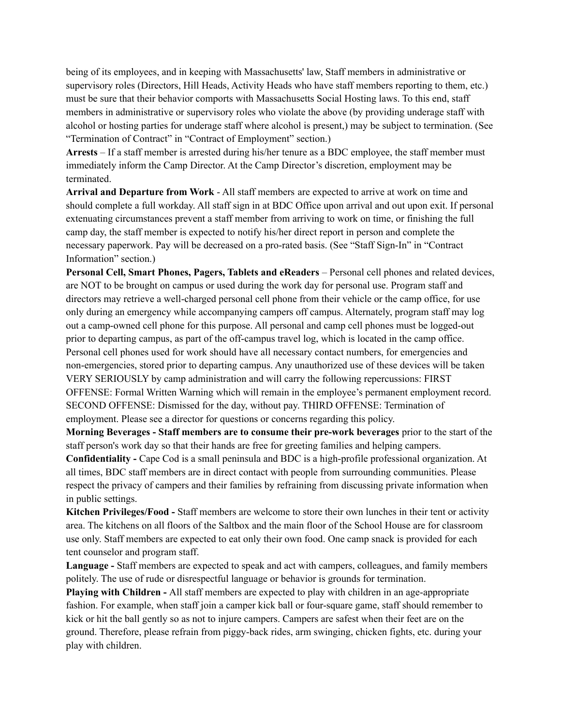being of its employees, and in keeping with Massachusetts' law, Staff members in administrative or supervisory roles (Directors, Hill Heads, Activity Heads who have staff members reporting to them, etc.) must be sure that their behavior comports with Massachusetts Social Hosting laws. To this end, staff members in administrative or supervisory roles who violate the above (by providing underage staff with alcohol or hosting parties for underage staff where alcohol is present,) may be subject to termination. (See "Termination of Contract" in "Contract of Employment" section.)

**Arrests** – If a staff member is arrested during his/her tenure as a BDC employee, the staff member must immediately inform the Camp Director. At the Camp Director's discretion, employment may be terminated.

**Arrival and Departure from Work** - All staff members are expected to arrive at work on time and should complete a full workday. All staff sign in at BDC Office upon arrival and out upon exit. If personal extenuating circumstances prevent a staff member from arriving to work on time, or finishing the full camp day, the staff member is expected to notify his/her direct report in person and complete the necessary paperwork. Pay will be decreased on a pro-rated basis. (See "Staff Sign-In" in "Contract Information" section.)

**Personal Cell, Smart Phones, Pagers, Tablets and eReaders** – Personal cell phones and related devices, are NOT to be brought on campus or used during the work day for personal use. Program staff and directors may retrieve a well-charged personal cell phone from their vehicle or the camp office, for use only during an emergency while accompanying campers off campus. Alternately, program staff may log out a camp-owned cell phone for this purpose. All personal and camp cell phones must be logged-out prior to departing campus, as part of the off-campus travel log, which is located in the camp office. Personal cell phones used for work should have all necessary contact numbers, for emergencies and non-emergencies, stored prior to departing campus. Any unauthorized use of these devices will be taken VERY SERIOUSLY by camp administration and will carry the following repercussions: FIRST OFFENSE: Formal Written Warning which will remain in the employee's permanent employment record. SECOND OFFENSE: Dismissed for the day, without pay. THIRD OFFENSE: Termination of employment. Please see a director for questions or concerns regarding this policy.

**Morning Beverages - Staff members are to consume their pre-work beverages** prior to the start of the staff person's work day so that their hands are free for greeting families and helping campers.

**Confidentiality -** Cape Cod is a small peninsula and BDC is a high-profile professional organization. At all times, BDC staff members are in direct contact with people from surrounding communities. Please respect the privacy of campers and their families by refraining from discussing private information when in public settings.

**Kitchen Privileges/Food -** Staff members are welcome to store their own lunches in their tent or activity area. The kitchens on all floors of the Saltbox and the main floor of the School House are for classroom use only. Staff members are expected to eat only their own food. One camp snack is provided for each tent counselor and program staff.

**Language -** Staff members are expected to speak and act with campers, colleagues, and family members politely. The use of rude or disrespectful language or behavior is grounds for termination.

**Playing with Children -** All staff members are expected to play with children in an age-appropriate fashion. For example, when staff join a camper kick ball or four-square game, staff should remember to kick or hit the ball gently so as not to injure campers. Campers are safest when their feet are on the ground. Therefore, please refrain from piggy-back rides, arm swinging, chicken fights, etc. during your play with children.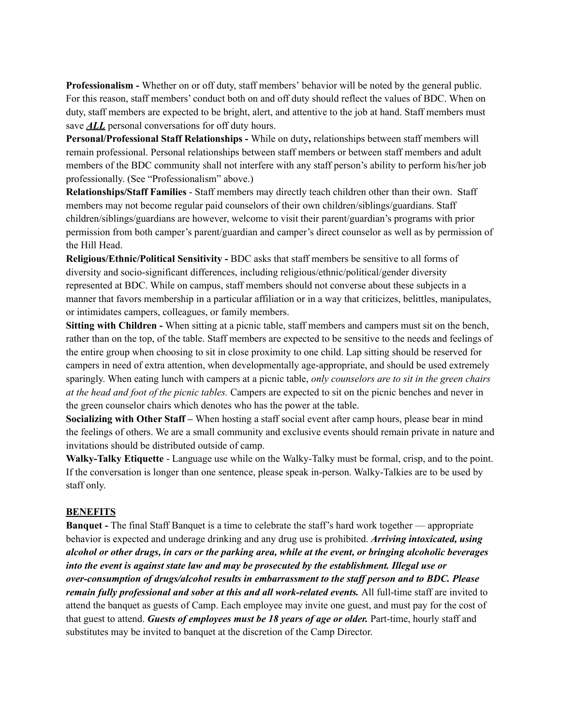**Professionalism -** Whether on or off duty, staff members' behavior will be noted by the general public. For this reason, staff members' conduct both on and off duty should reflect the values of BDC. When on duty, staff members are expected to be bright, alert, and attentive to the job at hand. Staff members must save *ALL* personal conversations for off duty hours.

**Personal/Professional Staff Relationships -** While on duty**,** relationships between staff members will remain professional. Personal relationships between staff members or between staff members and adult members of the BDC community shall not interfere with any staff person's ability to perform his/her job professionally. (See "Professionalism" above.)

**Relationships/Staff Families** - Staff members may directly teach children other than their own. Staff members may not become regular paid counselors of their own children/siblings/guardians. Staff children/siblings/guardians are however, welcome to visit their parent/guardian's programs with prior permission from both camper's parent/guardian and camper's direct counselor as well as by permission of the Hill Head.

**Religious/Ethnic/Political Sensitivity -** BDC asks that staff members be sensitive to all forms of diversity and socio-significant differences, including religious/ethnic/political/gender diversity represented at BDC. While on campus, staff members should not converse about these subjects in a manner that favors membership in a particular affiliation or in a way that criticizes, belittles, manipulates, or intimidates campers, colleagues, or family members.

**Sitting with Children -** When sitting at a picnic table, staff members and campers must sit on the bench, rather than on the top, of the table. Staff members are expected to be sensitive to the needs and feelings of the entire group when choosing to sit in close proximity to one child. Lap sitting should be reserved for campers in need of extra attention, when developmentally age-appropriate, and should be used extremely sparingly. When eating lunch with campers at a picnic table, *only counselors are to sit in the green chairs at the head and foot of the picnic tables.* Campers are expected to sit on the picnic benches and never in the green counselor chairs which denotes who has the power at the table.

**Socializing with Other Staff –** When hosting a staff social event after camp hours, please bear in mind the feelings of others. We are a small community and exclusive events should remain private in nature and invitations should be distributed outside of camp.

**Walky-Talky Etiquette** - Language use while on the Walky-Talky must be formal, crisp, and to the point. If the conversation is longer than one sentence, please speak in-person. Walky-Talkies are to be used by staff only.

#### **BENEFITS**

**Banquet -** The final Staff Banquet is a time to celebrate the staff's hard work together — appropriate behavior is expected and underage drinking and any drug use is prohibited. *Arriving intoxicated, using* alcohol or other drugs, in cars or the parking area, while at the event, or bringing alcoholic beverages *into the event is against state law and may be prosecuted by the establishment. Illegal use or over-consumption of drugs/alcohol results in embarrassment to the staf person and to BDC. Please remain fully professional and sober at this and all work-related events.* All full-time staff are invited to attend the banquet as guests of Camp. Each employee may invite one guest, and must pay for the cost of that guest to attend. *Guests of employees must be 18 years of age or older.* Part-time, hourly staff and substitutes may be invited to banquet at the discretion of the Camp Director.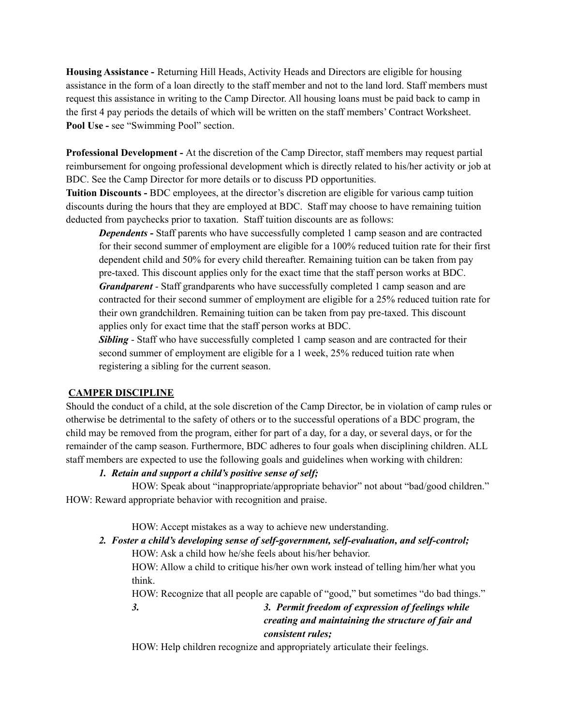**Housing Assistance -** Returning Hill Heads, Activity Heads and Directors are eligible for housing assistance in the form of a loan directly to the staff member and not to the land lord. Staff members must request this assistance in writing to the Camp Director. All housing loans must be paid back to camp in the first 4 pay periods the details of which will be written on the staff members' Contract Worksheet. **Pool Use -** see "Swimming Pool" section.

**Professional Development -** At the discretion of the Camp Director, staff members may request partial reimbursement for ongoing professional development which is directly related to his/her activity or job at BDC. See the Camp Director for more details or to discuss PD opportunities.

**Tuition Discounts -** BDC employees, at the director's discretion are eligible for various camp tuition discounts during the hours that they are employed at BDC. Staff may choose to have remaining tuition deducted from paychecks prior to taxation. Staff tuition discounts are as follows:

**Dependents** - Staff parents who have successfully completed 1 camp season and are contracted for their second summer of employment are eligible for a 100% reduced tuition rate for their first dependent child and 50% for every child thereafter. Remaining tuition can be taken from pay pre-taxed. This discount applies only for the exact time that the staff person works at BDC. *Grandparent* - Staff grandparents who have successfully completed 1 camp season and are contracted for their second summer of employment are eligible for a 25% reduced tuition rate for their own grandchildren. Remaining tuition can be taken from pay pre-taxed. This discount applies only for exact time that the staff person works at BDC.

**Sibling** - Staff who have successfully completed 1 camp season and are contracted for their second summer of employment are eligible for a 1 week, 25% reduced tuition rate when registering a sibling for the current season.

## **CAMPER DISCIPLINE**

Should the conduct of a child, at the sole discretion of the Camp Director, be in violation of camp rules or otherwise be detrimental to the safety of others or to the successful operations of a BDC program, the child may be removed from the program, either for part of a day, for a day, or several days, or for the remainder of the camp season. Furthermore, BDC adheres to four goals when disciplining children. ALL staff members are expected to use the following goals and guidelines when working with children:

## *1. Retain and support a child's positive sense of self;*

HOW: Speak about "inappropriate/appropriate behavior" not about "bad/good children." HOW: Reward appropriate behavior with recognition and praise.

HOW: Accept mistakes as a way to achieve new understanding.

*2. Foster a child's developing sense of self-government, self-evaluation, and self-control;* HOW: Ask a child how he/she feels about his/her behavior.

HOW: Allow a child to critique his/her own work instead of telling him/her what you think.

HOW: Recognize that all people are capable of "good," but sometimes "do bad things."

*3. 3. Permit freedom of expression of feelings while creating and maintaining the structure of fair and consistent rules;*

HOW: Help children recognize and appropriately articulate their feelings.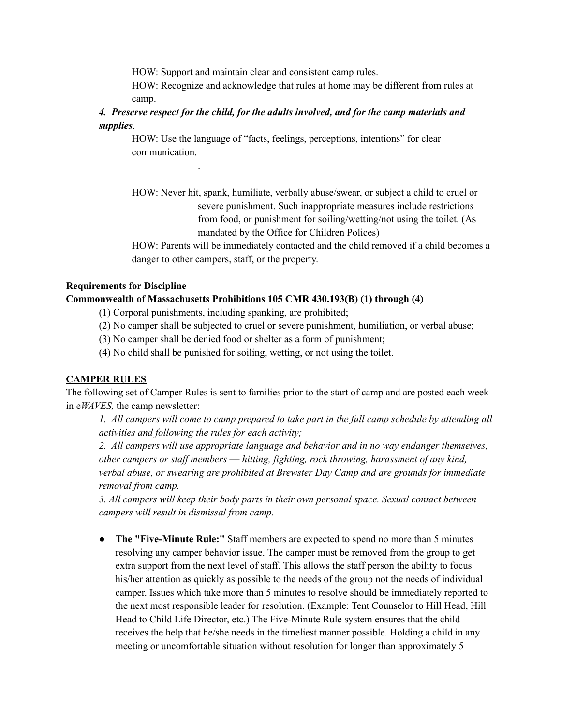HOW: Support and maintain clear and consistent camp rules.

HOW: Recognize and acknowledge that rules at home may be different from rules at camp.

*4. Preserve respect for the child, for the adults involved, and for the camp materials and supplies*.

HOW: Use the language of "facts, feelings, perceptions, intentions" for clear communication.

HOW: Never hit, spank, humiliate, verbally abuse/swear, or subject a child to cruel or severe punishment. Such inappropriate measures include restrictions from food, or punishment for soiling/wetting/not using the toilet. (As mandated by the Office for Children Polices)

HOW: Parents will be immediately contacted and the child removed if a child becomes a danger to other campers, staff, or the property.

#### **Requirements for Discipline**

### **Commonwealth of Massachusetts Prohibitions 105 CMR 430.193(B) (1) through (4)**

(1) Corporal punishments, including spanking, are prohibited;

.

- (2) No camper shall be subjected to cruel or severe punishment, humiliation, or verbal abuse;
- (3) No camper shall be denied food or shelter as a form of punishment;
- (4) No child shall be punished for soiling, wetting, or not using the toilet.

## **CAMPER RULES**

The following set of Camper Rules is sent to families prior to the start of camp and are posted each week in e*WAVES,* the camp newsletter:

1. All campers will come to camp prepared to take part in the full camp schedule by attending all *activities and following the rules for each activity;*

*2. All campers will use appropriate language and behavior and in no way endanger themselves, other campers or staf members — hitting, fighting, rock throwing, harassment of any kind, verbal abuse, or swearing are prohibited at Brewster Day Camp and are grounds for immediate removal from camp.*

*3. All campers will keep their body parts in their own personal space. Sexual contact between campers will result in dismissal from camp.*

● **The "Five-Minute Rule:"** Staff members are expected to spend no more than 5 minutes resolving any camper behavior issue. The camper must be removed from the group to get extra support from the next level of staff. This allows the staff person the ability to focus his/her attention as quickly as possible to the needs of the group not the needs of individual camper. Issues which take more than 5 minutes to resolve should be immediately reported to the next most responsible leader for resolution. (Example: Tent Counselor to Hill Head, Hill Head to Child Life Director, etc.) The Five-Minute Rule system ensures that the child receives the help that he/she needs in the timeliest manner possible. Holding a child in any meeting or uncomfortable situation without resolution for longer than approximately 5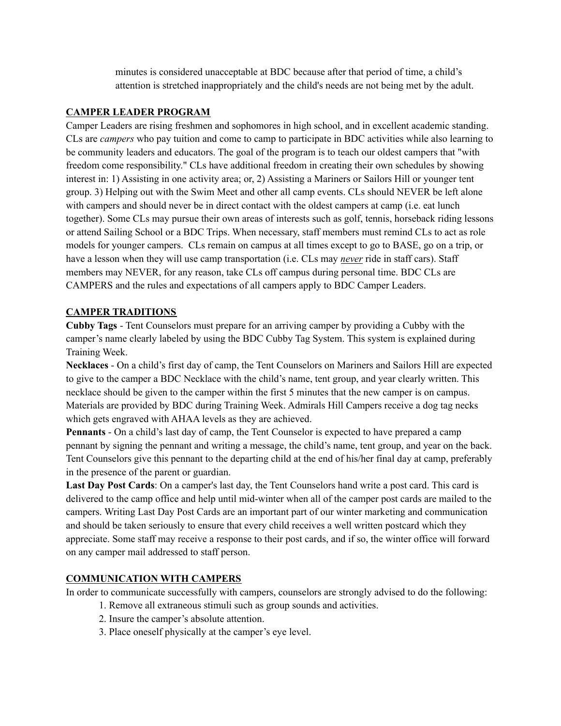minutes is considered unacceptable at BDC because after that period of time, a child's attention is stretched inappropriately and the child's needs are not being met by the adult.

### **CAMPER LEADER PROGRAM**

Camper Leaders are rising freshmen and sophomores in high school, and in excellent academic standing. CLs are *campers* who pay tuition and come to camp to participate in BDC activities while also learning to be community leaders and educators. The goal of the program is to teach our oldest campers that "with freedom come responsibility." CLs have additional freedom in creating their own schedules by showing interest in: 1) Assisting in one activity area; or, 2) Assisting a Mariners or Sailors Hill or younger tent group. 3) Helping out with the Swim Meet and other all camp events. CLs should NEVER be left alone with campers and should never be in direct contact with the oldest campers at camp (i.e. eat lunch together). Some CLs may pursue their own areas of interests such as golf, tennis, horseback riding lessons or attend Sailing School or a BDC Trips. When necessary, staff members must remind CLs to act as role models for younger campers. CLs remain on campus at all times except to go to BASE, go on a trip, or have a lesson when they will use camp transportation (i.e. CLs may *never* ride in staff cars). Staff members may NEVER, for any reason, take CLs off campus during personal time. BDC CLs are CAMPERS and the rules and expectations of all campers apply to BDC Camper Leaders.

## **CAMPER TRADITIONS**

**Cubby Tags** - Tent Counselors must prepare for an arriving camper by providing a Cubby with the camper's name clearly labeled by using the BDC Cubby Tag System. This system is explained during Training Week.

**Necklaces** - On a child's first day of camp, the Tent Counselors on Mariners and Sailors Hill are expected to give to the camper a BDC Necklace with the child's name, tent group, and year clearly written. This necklace should be given to the camper within the first 5 minutes that the new camper is on campus. Materials are provided by BDC during Training Week. Admirals Hill Campers receive a dog tag necks which gets engraved with AHAA levels as they are achieved.

**Pennants** - On a child's last day of camp, the Tent Counselor is expected to have prepared a camp pennant by signing the pennant and writing a message, the child's name, tent group, and year on the back. Tent Counselors give this pennant to the departing child at the end of his/her final day at camp, preferably in the presence of the parent or guardian.

**Last Day Post Cards**: On a camper's last day, the Tent Counselors hand write a post card. This card is delivered to the camp office and help until mid-winter when all of the camper post cards are mailed to the campers. Writing Last Day Post Cards are an important part of our winter marketing and communication and should be taken seriously to ensure that every child receives a well written postcard which they appreciate. Some staff may receive a response to their post cards, and if so, the winter office will forward on any camper mail addressed to staff person.

## **COMMUNICATION WITH CAMPERS**

In order to communicate successfully with campers, counselors are strongly advised to do the following:

- 1. Remove all extraneous stimuli such as group sounds and activities.
- 2. Insure the camper's absolute attention.
- 3. Place oneself physically at the camper's eye level.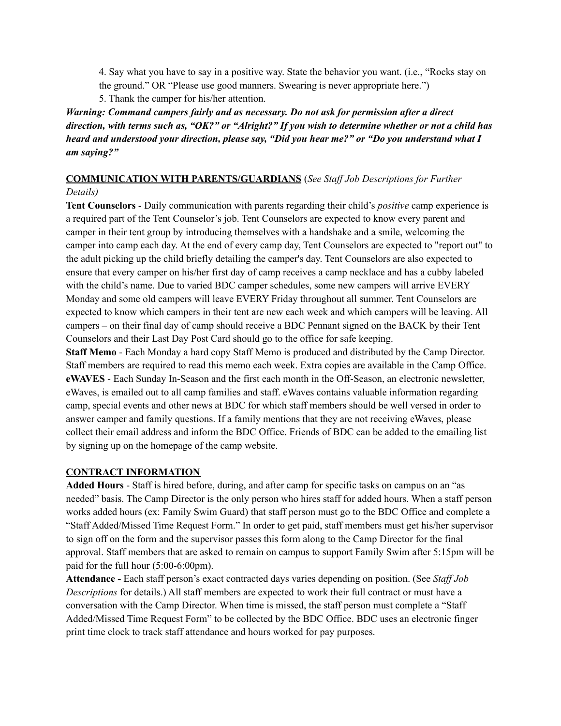4. Say what you have to say in a positive way. State the behavior you want. (i.e., "Rocks stay on the ground." OR "Please use good manners. Swearing is never appropriate here.")

5. Thank the camper for his/her attention.

*Warning: Command campers fairly and as necessary. Do not ask for permission after a direct* direction, with terms such as, "OK?" or "Alright?" If you wish to determine whether or not a child has *heard and understood your direction, please say, "Did you hear me?" or "Do you understand what I am saying?"*

#### **COMMUNICATION WITH PARENTS/GUARDIANS** (*See Staf Job Descriptions for Further Details)*

**Tent Counselors** - Daily communication with parents regarding their child's *positive* camp experience is a required part of the Tent Counselor's job. Tent Counselors are expected to know every parent and camper in their tent group by introducing themselves with a handshake and a smile, welcoming the camper into camp each day. At the end of every camp day, Tent Counselors are expected to "report out" to the adult picking up the child briefly detailing the camper's day. Tent Counselors are also expected to ensure that every camper on his/her first day of camp receives a camp necklace and has a cubby labeled with the child's name. Due to varied BDC camper schedules, some new campers will arrive EVERY Monday and some old campers will leave EVERY Friday throughout all summer. Tent Counselors are expected to know which campers in their tent are new each week and which campers will be leaving. All campers – on their final day of camp should receive a BDC Pennant signed on the BACK by their Tent Counselors and their Last Day Post Card should go to the office for safe keeping.

**Staff Memo** - Each Monday a hard copy Staff Memo is produced and distributed by the Camp Director. Staff members are required to read this memo each week. Extra copies are available in the Camp Office. **eWAVES** - Each Sunday In-Season and the first each month in the Off-Season, an electronic newsletter, eWaves, is emailed out to all camp families and staff. eWaves contains valuable information regarding camp, special events and other news at BDC for which staff members should be well versed in order to answer camper and family questions. If a family mentions that they are not receiving eWaves, please collect their email address and inform the BDC Office. Friends of BDC can be added to the emailing list by signing up on the homepage of the camp website.

#### **CONTRACT INFORMATION**

**Added Hours** - Staff is hired before, during, and after camp for specific tasks on campus on an "as needed" basis. The Camp Director is the only person who hires staff for added hours. When a staff person works added hours (ex: Family Swim Guard) that staff person must go to the BDC Office and complete a "Staff Added/Missed Time Request Form." In order to get paid, staff members must get his/her supervisor to sign off on the form and the supervisor passes this form along to the Camp Director for the final approval. Staff members that are asked to remain on campus to support Family Swim after 5:15pm will be paid for the full hour (5:00-6:00pm).

**Attendance -** Each staff person's exact contracted days varies depending on position. (See *Staf Job Descriptions* for details.) All staff members are expected to work their full contract or must have a conversation with the Camp Director. When time is missed, the staff person must complete a "Staff Added/Missed Time Request Form" to be collected by the BDC Office. BDC uses an electronic finger print time clock to track staff attendance and hours worked for pay purposes.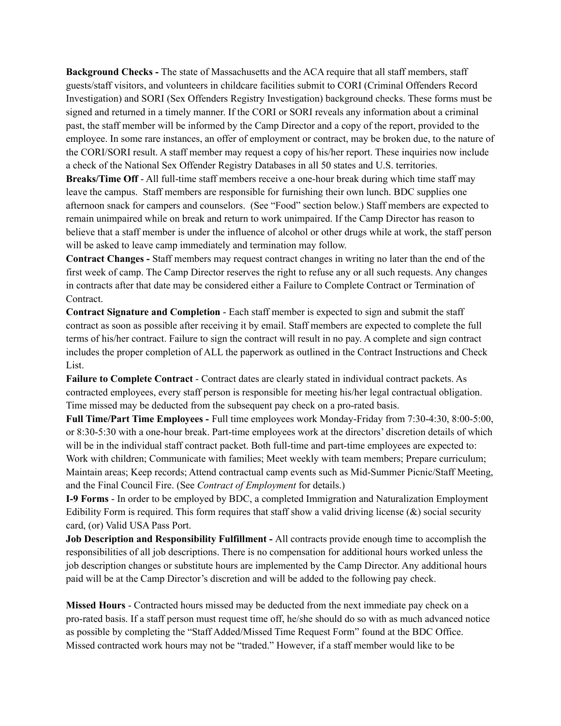**Background Checks -** The state of Massachusetts and the ACA require that all staff members, staff guests/staff visitors, and volunteers in childcare facilities submit to CORI (Criminal Offenders Record Investigation) and SORI (Sex Offenders Registry Investigation) background checks. These forms must be signed and returned in a timely manner. If the CORI or SORI reveals any information about a criminal past, the staff member will be informed by the Camp Director and a copy of the report, provided to the employee. In some rare instances, an offer of employment or contract, may be broken due, to the nature of the CORI/SORI result. A staff member may request a copy of his/her report. These inquiries now include a check of the National Sex Offender Registry Databases in all 50 states and U.S. territories.

**Breaks/Time Off** - All full-time staff members receive a one-hour break during which time staff may leave the campus. Staff members are responsible for furnishing their own lunch. BDC supplies one afternoon snack for campers and counselors. (See "Food" section below.) Staff members are expected to remain unimpaired while on break and return to work unimpaired. If the Camp Director has reason to believe that a staff member is under the influence of alcohol or other drugs while at work, the staff person will be asked to leave camp immediately and termination may follow.

**Contract Changes -** Staff members may request contract changes in writing no later than the end of the first week of camp. The Camp Director reserves the right to refuse any or all such requests. Any changes in contracts after that date may be considered either a Failure to Complete Contract or Termination of Contract.

**Contract Signature and Completion** - Each staff member is expected to sign and submit the staff contract as soon as possible after receiving it by email. Staff members are expected to complete the full terms of his/her contract. Failure to sign the contract will result in no pay. A complete and sign contract includes the proper completion of ALL the paperwork as outlined in the Contract Instructions and Check List.

**Failure to Complete Contract** - Contract dates are clearly stated in individual contract packets. As contracted employees, every staff person is responsible for meeting his/her legal contractual obligation. Time missed may be deducted from the subsequent pay check on a pro-rated basis.

**Full Time/Part Time Employees -** Full time employees work Monday-Friday from 7:30-4:30, 8:00-5:00, or 8:30-5:30 with a one-hour break. Part-time employees work at the directors' discretion details of which will be in the individual staff contract packet. Both full-time and part-time employees are expected to: Work with children; Communicate with families; Meet weekly with team members; Prepare curriculum; Maintain areas; Keep records; Attend contractual camp events such as Mid-Summer Picnic/Staff Meeting, and the Final Council Fire. (See *Contract of Employment* for details.)

**I-9 Forms** - In order to be employed by BDC, a completed Immigration and Naturalization Employment Edibility Form is required. This form requires that staff show a valid driving license  $(\&)$  social security card, (or) Valid USA Pass Port.

**Job Description and Responsibility Fulfillment -** All contracts provide enough time to accomplish the responsibilities of all job descriptions. There is no compensation for additional hours worked unless the job description changes or substitute hours are implemented by the Camp Director. Any additional hours paid will be at the Camp Director's discretion and will be added to the following pay check.

**Missed Hours** - Contracted hours missed may be deducted from the next immediate pay check on a pro-rated basis. If a staff person must request time off, he/she should do so with as much advanced notice as possible by completing the "Staff Added/Missed Time Request Form" found at the BDC Office. Missed contracted work hours may not be "traded." However, if a staff member would like to be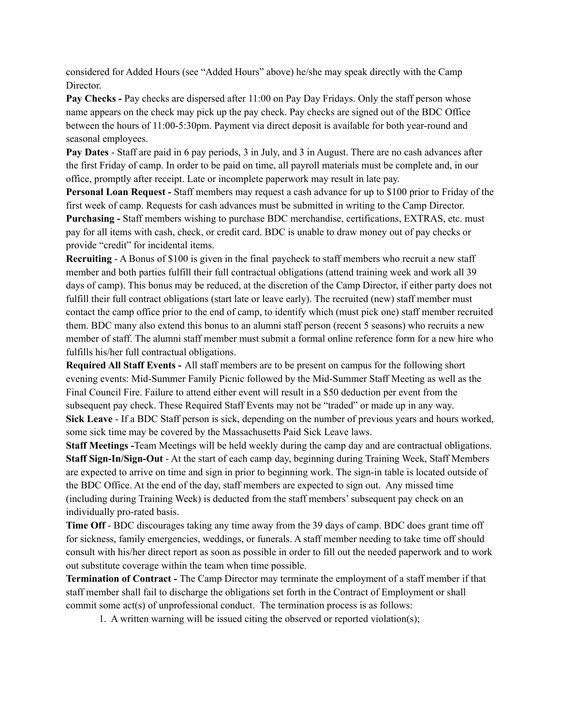considered for Added Hours (see "Added Hours" above) he/she may speak directly with the Camp **Director** 

**Pay Checks -** Pay checks are dispersed after 11:00 on Pay Day Fridays. Only the staff person whose name appears on the check may pick up the pay check. Pay checks are signed out of the BDC Office between the hours of 11:00-5:30pm. Payment via direct deposit is available for both year-round and seasonal employees.

**Pay Dates** - Staff are paid in 6 pay periods, 3 in July, and 3 in August. There are no cash advances after the first Friday of camp. In order to be paid on time, all payroll materials must be complete and, in our office, promptly after receipt. Late or incomplete paperwork may result in late pay.

**Personal Loan Request -** Staff members may request a cash advance for up to \$100 prior to Friday of the first week of camp. Requests for cash advances must be submitted in writing to the Camp Director. **Purchasing -** Staff members wishing to purchase BDC merchandise, certifications, EXTRAS, etc. must pay for all items with cash, check, or credit card. BDC is unable to draw money out of pay checks or provide "credit" for incidental items.

**Recruiting** - A Bonus of \$100 is given in the final paycheck to staff members who recruit a new staff member and both parties fulfill their full contractual obligations (attend training week and work all 39 days of camp). This bonus may be reduced, at the discretion of the Camp Director, if either party does not fulfill their full contract obligations (start late or leave early). The recruited (new) staff member must contact the camp office prior to the end of camp, to identify which (must pick one) staff member recruited them. BDC many also extend this bonus to an alumni staff person (recent 5 seasons) who recruits a new member of staff. The alumni staff member must submit a formal online reference form for a new hire who fulfills his/her full contractual obligations.

**Required All Staff Events -** All staff members are to be present on campus for the following short evening events: Mid-Summer Family Picnic followed by the Mid-Summer Staff Meeting as well as the Final Council Fire. Failure to attend either event will result in a \$50 deduction per event from the subsequent pay check. These Required Staff Events may not be "traded" or made up in any way. **Sick Leave** - If a BDC Staff person is sick, depending on the number of previous years and hours worked, some sick time may be covered by the Massachusetts Paid Sick Leave laws.

**Staff Meetings -**Team Meetings will be held weekly during the camp day and are contractual obligations. **Staff Sign-In/Sign-Out** - At the start of each camp day, beginning during Training Week, Staff Members are expected to arrive on time and sign in prior to beginning work. The sign-in table is located outside of the BDC Office. At the end of the day, staff members are expected to sign out. Any missed time (including during Training Week) is deducted from the staff members'subsequent pay check on an individually pro-rated basis.

**Time Off** - BDC discourages taking any time away from the 39 days of camp. BDC does grant time off for sickness, family emergencies, weddings, or funerals. A staff member needing to take time off should consult with his/her direct report as soon as possible in order to fill out the needed paperwork and to work out substitute coverage within the team when time possible.

**Termination of Contract -** The Camp Director may terminate the employment of a staff member if that staff member shall fail to discharge the obligations set forth in the Contract of Employment or shall commit some act(s) of unprofessional conduct. The termination process is as follows:

1. A written warning will be issued citing the observed or reported violation(s);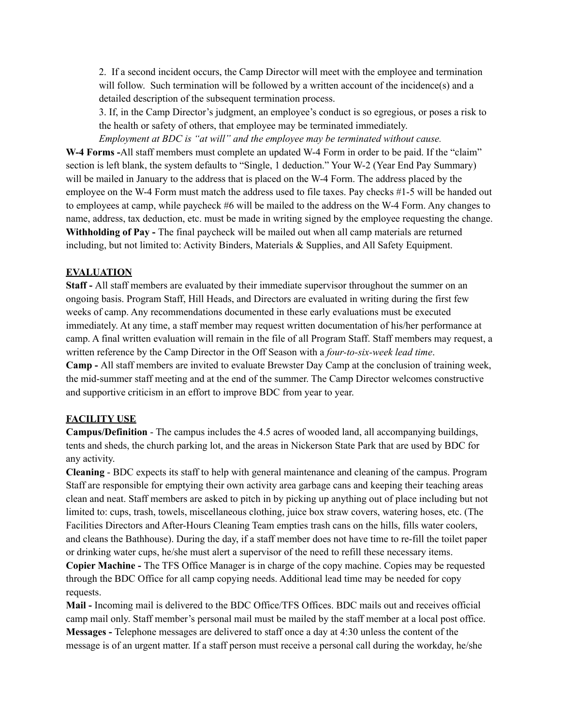2. If a second incident occurs, the Camp Director will meet with the employee and termination will follow. Such termination will be followed by a written account of the incidence(s) and a detailed description of the subsequent termination process.

3. If, in the Camp Director's judgment, an employee's conduct is so egregious, or poses a risk to the health or safety of others, that employee may be terminated immediately.

*Employment at BDC is "at will" and the employee may be terminated without cause.* **W-4 Forms -**All staff members must complete an updated W-4 Form in order to be paid. If the "claim" section is left blank, the system defaults to "Single, 1 deduction." Your W-2 (Year End Pay Summary) will be mailed in January to the address that is placed on the W-4 Form. The address placed by the employee on the W-4 Form must match the address used to file taxes. Pay checks #1-5 will be handed out to employees at camp, while paycheck #6 will be mailed to the address on the W-4 Form. Any changes to name, address, tax deduction, etc. must be made in writing signed by the employee requesting the change. **Withholding of Pay -** The final paycheck will be mailed out when all camp materials are returned including, but not limited to: Activity Binders, Materials & Supplies, and All Safety Equipment.

## **EVALUATION**

**Staff -** All staff members are evaluated by their immediate supervisor throughout the summer on an ongoing basis. Program Staff, Hill Heads, and Directors are evaluated in writing during the first few weeks of camp. Any recommendations documented in these early evaluations must be executed immediately. At any time, a staff member may request written documentation of his/her performance at camp. A final written evaluation will remain in the file of all Program Staff. Staff members may request, a written reference by the Camp Director in the Off Season with a *four-to-six-week lead time*. **Camp -** All staff members are invited to evaluate Brewster Day Camp at the conclusion of training week, the mid-summer staff meeting and at the end of the summer. The Camp Director welcomes constructive and supportive criticism in an effort to improve BDC from year to year.

# **FACILITY USE**

**Campus/Definition** - The campus includes the 4.5 acres of wooded land, all accompanying buildings, tents and sheds, the church parking lot, and the areas in Nickerson State Park that are used by BDC for any activity.

**Cleaning** - BDC expects its staff to help with general maintenance and cleaning of the campus. Program Staff are responsible for emptying their own activity area garbage cans and keeping their teaching areas clean and neat. Staff members are asked to pitch in by picking up anything out of place including but not limited to: cups, trash, towels, miscellaneous clothing, juice box straw covers, watering hoses, etc. (The Facilities Directors and After-Hours Cleaning Team empties trash cans on the hills, fills water coolers, and cleans the Bathhouse). During the day, if a staff member does not have time to re-fill the toilet paper or drinking water cups, he/she must alert a supervisor of the need to refill these necessary items.

**Copier Machine -** The TFS Office Manager is in charge of the copy machine. Copies may be requested through the BDC Office for all camp copying needs. Additional lead time may be needed for copy requests.

**Mail -** Incoming mail is delivered to the BDC Office/TFS Offices. BDC mails out and receives official camp mail only. Staff member's personal mail must be mailed by the staff member at a local post office. **Messages -** Telephone messages are delivered to staff once a day at 4:30 unless the content of the message is of an urgent matter. If a staff person must receive a personal call during the workday, he/she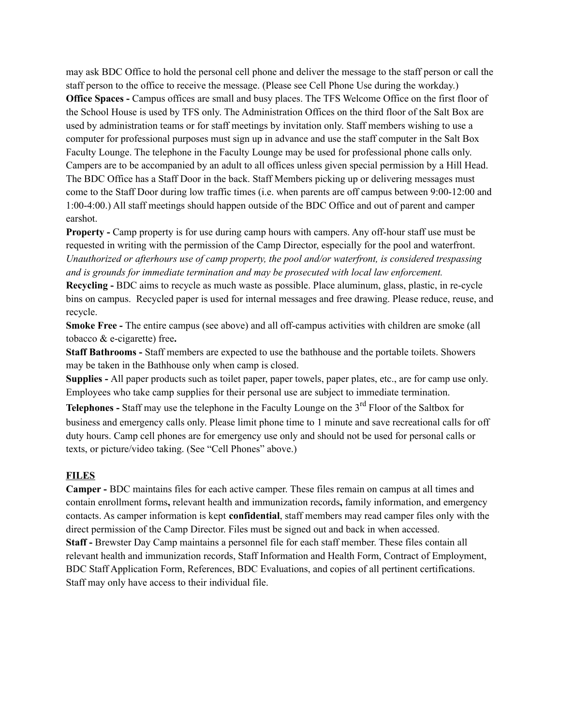may ask BDC Office to hold the personal cell phone and deliver the message to the staff person or call the staff person to the office to receive the message. (Please see Cell Phone Use during the workday.) **Office Spaces -** Campus offices are small and busy places. The TFS Welcome Office on the first floor of the School House is used by TFS only. The Administration Offices on the third floor of the Salt Box are used by administration teams or for staff meetings by invitation only. Staff members wishing to use a computer for professional purposes must sign up in advance and use the staff computer in the Salt Box Faculty Lounge. The telephone in the Faculty Lounge may be used for professional phone calls only. Campers are to be accompanied by an adult to all offices unless given special permission by a Hill Head. The BDC Office has a Staff Door in the back. Staff Members picking up or delivering messages must come to the Staff Door during low traffic times (i.e. when parents are off campus between 9:00-12:00 and 1:00-4:00.) All staff meetings should happen outside of the BDC Office and out of parent and camper earshot.

**Property -** Camp property is for use during camp hours with campers. Any off-hour staff use must be requested in writing with the permission of the Camp Director, especially for the pool and waterfront. *Unauthorized or afterhours use of camp property, the pool and/or waterfront, is considered trespassing and is grounds for immediate termination and may be prosecuted with local law enforcement.*

**Recycling -** BDC aims to recycle as much waste as possible. Place aluminum, glass, plastic, in re-cycle bins on campus. Recycled paper is used for internal messages and free drawing. Please reduce, reuse, and recycle.

**Smoke Free -** The entire campus (see above) and all off-campus activities with children are smoke (all tobacco & e-cigarette) free**.**

**Staff Bathrooms -** Staff members are expected to use the bathhouse and the portable toilets. Showers may be taken in the Bathhouse only when camp is closed.

**Supplies -** All paper products such as toilet paper, paper towels, paper plates, etc., are for camp use only. Employees who take camp supplies for their personal use are subject to immediate termination.

**Telephones -** Staff may use the telephone in the Faculty Lounge on the 3<sup>rd</sup> Floor of the Saltbox for business and emergency calls only. Please limit phone time to 1 minute and save recreational calls for off duty hours. Camp cell phones are for emergency use only and should not be used for personal calls or texts, or picture/video taking. (See "Cell Phones" above.)

## **FILES**

**Camper -** BDC maintains files for each active camper. These files remain on campus at all times and contain enrollment forms**,** relevant health and immunization records**,** family information, and emergency contacts. As camper information is kept **confidential**, staff members may read camper files only with the direct permission of the Camp Director. Files must be signed out and back in when accessed. **Staff -** Brewster Day Camp maintains a personnel file for each staff member. These files contain all relevant health and immunization records, Staff Information and Health Form, Contract of Employment, BDC Staff Application Form, References, BDC Evaluations, and copies of all pertinent certifications. Staff may only have access to their individual file.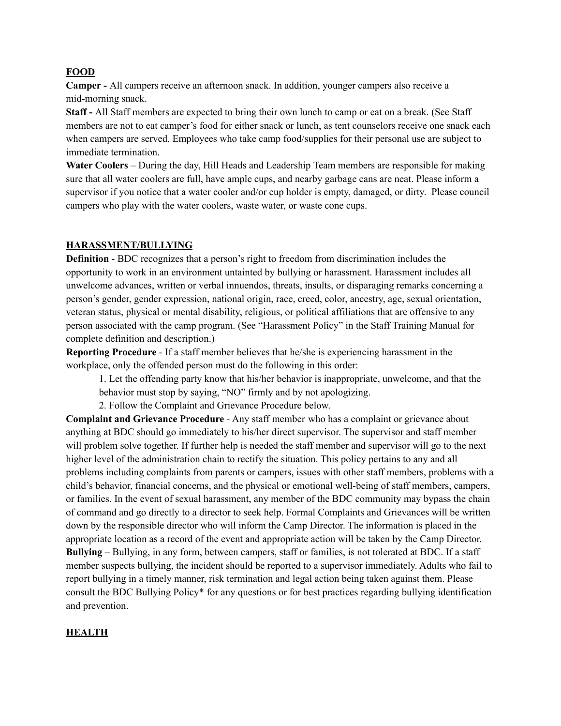### **FOOD**

**Camper -** All campers receive an afternoon snack. In addition, younger campers also receive a mid-morning snack.

**Staff -** All Staff members are expected to bring their own lunch to camp or eat on a break. (See Staff members are not to eat camper's food for either snack or lunch, as tent counselors receive one snack each when campers are served. Employees who take camp food/supplies for their personal use are subject to immediate termination.

**Water Coolers** – During the day, Hill Heads and Leadership Team members are responsible for making sure that all water coolers are full, have ample cups, and nearby garbage cans are neat. Please inform a supervisor if you notice that a water cooler and/or cup holder is empty, damaged, or dirty. Please council campers who play with the water coolers, waste water, or waste cone cups.

### **HARASSMENT/BULLYING**

**Definition** - BDC recognizes that a person's right to freedom from discrimination includes the opportunity to work in an environment untainted by bullying or harassment. Harassment includes all unwelcome advances, written or verbal innuendos, threats, insults, or disparaging remarks concerning a person's gender, gender expression, national origin, race, creed, color, ancestry, age, sexual orientation, veteran status, physical or mental disability, religious, or political affiliations that are offensive to any person associated with the camp program. (See "Harassment Policy" in the Staff Training Manual for complete definition and description.)

**Reporting Procedure** - If a staff member believes that he/she is experiencing harassment in the workplace, only the offended person must do the following in this order:

1. Let the offending party know that his/her behavior is inappropriate, unwelcome, and that the

behavior must stop by saying, "NO" firmly and by not apologizing.

2. Follow the Complaint and Grievance Procedure below.

**Complaint and Grievance Procedure** - Any staff member who has a complaint or grievance about anything at BDC should go immediately to his/her direct supervisor. The supervisor and staff member will problem solve together. If further help is needed the staff member and supervisor will go to the next higher level of the administration chain to rectify the situation. This policy pertains to any and all problems including complaints from parents or campers, issues with other staff members, problems with a child's behavior, financial concerns, and the physical or emotional well-being of staff members, campers, or families. In the event of sexual harassment, any member of the BDC community may bypass the chain of command and go directly to a director to seek help. Formal Complaints and Grievances will be written down by the responsible director who will inform the Camp Director. The information is placed in the appropriate location as a record of the event and appropriate action will be taken by the Camp Director. **Bullying** – Bullying, in any form, between campers, staff or families, is not tolerated at BDC. If a staff member suspects bullying, the incident should be reported to a supervisor immediately. Adults who fail to report bullying in a timely manner, risk termination and legal action being taken against them. Please consult the BDC Bullying Policy\* for any questions or for best practices regarding bullying identification and prevention.

#### **HEALTH**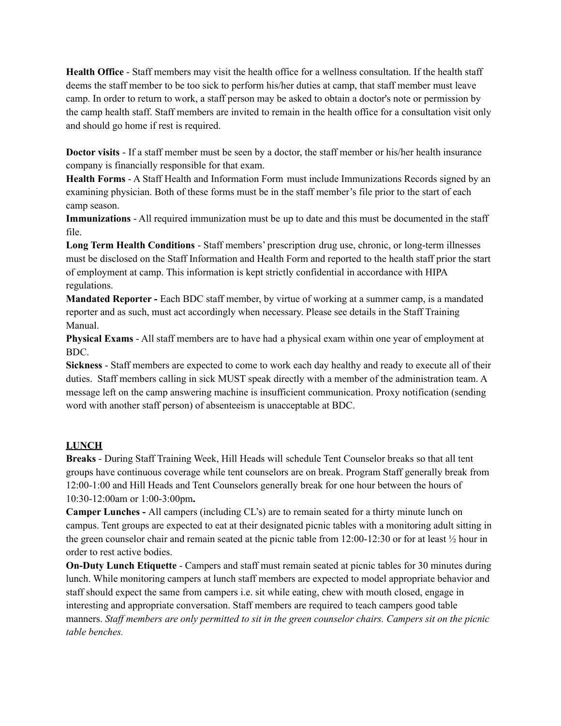**Health Office** - Staff members may visit the health office for a wellness consultation. If the health staff deems the staff member to be too sick to perform his/her duties at camp, that staff member must leave camp. In order to return to work, a staff person may be asked to obtain a doctor's note or permission by the camp health staff. Staff members are invited to remain in the health office for a consultation visit only and should go home if rest is required.

**Doctor visits** - If a staff member must be seen by a doctor, the staff member or his/her health insurance company is financially responsible for that exam.

**Health Forms** - A Staff Health and Information Form must include Immunizations Records signed by an examining physician. Both of these forms must be in the staff member's file prior to the start of each camp season.

**Immunizations** - All required immunization must be up to date and this must be documented in the staff file.

**Long Term Health Conditions** - Staff members' prescription drug use, chronic, or long-term illnesses must be disclosed on the Staff Information and Health Form and reported to the health staff prior the start of employment at camp. This information is kept strictly confidential in accordance with HIPA regulations.

**Mandated Reporter -** Each BDC staff member, by virtue of working at a summer camp, is a mandated reporter and as such, must act accordingly when necessary. Please see details in the Staff Training Manual.

**Physical Exams** - All staff members are to have had a physical exam within one year of employment at BDC.

**Sickness** - Staff members are expected to come to work each day healthy and ready to execute all of their duties. Staff members calling in sick MUST speak directly with a member of the administration team. A message left on the camp answering machine is insufficient communication. Proxy notification (sending word with another staff person) of absenteeism is unacceptable at BDC.

## **LUNCH**

**Breaks** - During Staff Training Week, Hill Heads will schedule Tent Counselor breaks so that all tent groups have continuous coverage while tent counselors are on break. Program Staff generally break from 12:00-1:00 and Hill Heads and Tent Counselors generally break for one hour between the hours of 10:30-12:00am or 1:00-3:00pm**.**

**Camper Lunches -** All campers (including CL's) are to remain seated for a thirty minute lunch on campus. Tent groups are expected to eat at their designated picnic tables with a monitoring adult sitting in the green counselor chair and remain seated at the picnic table from 12:00-12:30 or for at least ½ hour in order to rest active bodies.

**On-Duty Lunch Etiquette** - Campers and staff must remain seated at picnic tables for 30 minutes during lunch. While monitoring campers at lunch staff members are expected to model appropriate behavior and staff should expect the same from campers i.e. sit while eating, chew with mouth closed, engage in interesting and appropriate conversation. Staff members are required to teach campers good table manners. *Staf members are only permitted to sit in the green counselor chairs. Campers sit on the picnic table benches.*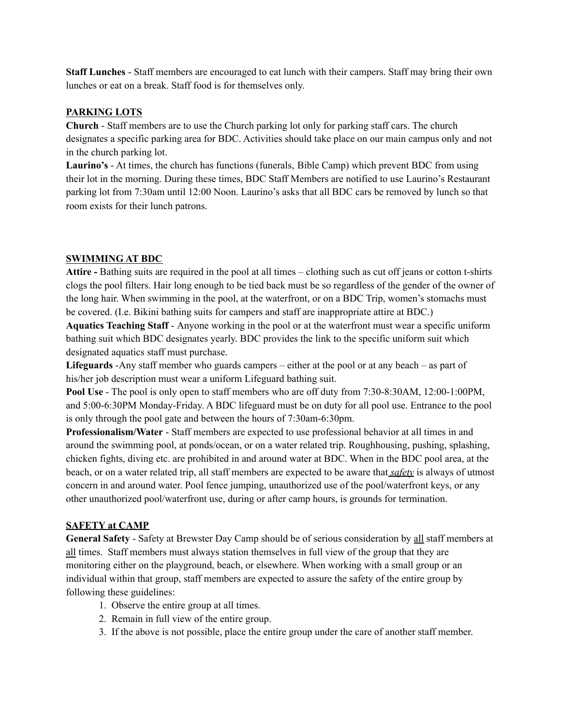**Staff Lunches** - Staff members are encouraged to eat lunch with their campers. Staff may bring their own lunches or eat on a break. Staff food is for themselves only.

### **PARKING LOTS**

**Church** - Staff members are to use the Church parking lot only for parking staff cars. The church designates a specific parking area for BDC. Activities should take place on our main campus only and not in the church parking lot.

**Laurino's** - At times, the church has functions (funerals, Bible Camp) which prevent BDC from using their lot in the morning. During these times, BDC Staff Members are notified to use Laurino's Restaurant parking lot from 7:30am until 12:00 Noon. Laurino's asks that all BDC cars be removed by lunch so that room exists for their lunch patrons.

### **SWIMMING AT BDC**

**Attire -** Bathing suits are required in the pool at all times – clothing such as cut off jeans or cotton t-shirts clogs the pool filters. Hair long enough to be tied back must be so regardless of the gender of the owner of the long hair. When swimming in the pool, at the waterfront, or on a BDC Trip, women's stomachs must be covered. (I.e. Bikini bathing suits for campers and staff are inappropriate attire at BDC.)

**Aquatics Teaching Staff** - Anyone working in the pool or at the waterfront must wear a specific uniform bathing suit which BDC designates yearly. BDC provides the link to the specific uniform suit which designated aquatics staff must purchase.

**Lifeguards** -Any staff member who guards campers – either at the pool or at any beach – as part of his/her job description must wear a uniform Lifeguard bathing suit.

**Pool Use** - The pool is only open to staff members who are off duty from 7:30-8:30AM, 12:00-1:00PM, and 5:00-6:30PM Monday-Friday. A BDC lifeguard must be on duty for all pool use. Entrance to the pool is only through the pool gate and between the hours of 7:30am-6:30pm.

**Professionalism/Water** - Staff members are expected to use professional behavior at all times in and around the swimming pool, at ponds/ocean, or on a water related trip. Roughhousing, pushing, splashing, chicken fights, diving etc. are prohibited in and around water at BDC. When in the BDC pool area, at the beach, or on a water related trip, all staff members are expected to be aware that *safety* is always of utmost concern in and around water. Pool fence jumping, unauthorized use of the pool/waterfront keys, or any other unauthorized pool/waterfront use, during or after camp hours, is grounds for termination.

## **SAFETY at CAMP**

**General Safety** - Safety at Brewster Day Camp should be of serious consideration by all staff members at all times. Staff members must always station themselves in full view of the group that they are monitoring either on the playground, beach, or elsewhere. When working with a small group or an individual within that group, staff members are expected to assure the safety of the entire group by following these guidelines:

- 1. Observe the entire group at all times.
- 2. Remain in full view of the entire group.
- 3. If the above is not possible, place the entire group under the care of another staff member.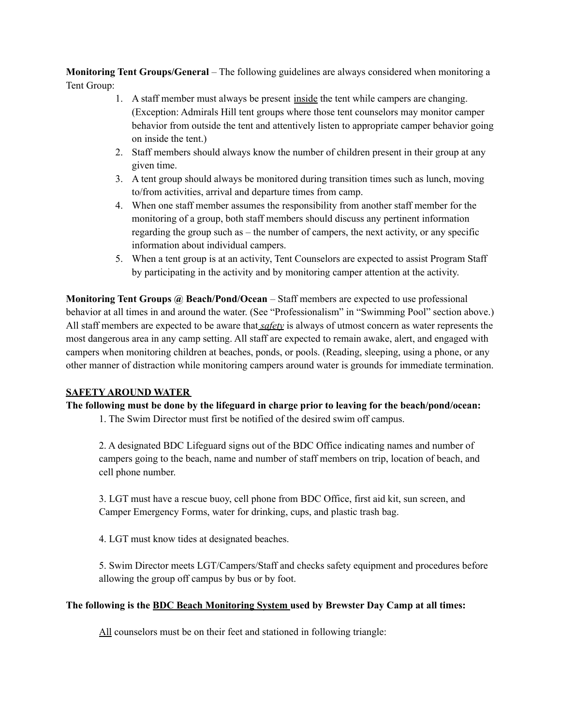**Monitoring Tent Groups/General** – The following guidelines are always considered when monitoring a Tent Group:

- 1. A staff member must always be present inside the tent while campers are changing. (Exception: Admirals Hill tent groups where those tent counselors may monitor camper behavior from outside the tent and attentively listen to appropriate camper behavior going on inside the tent.)
- 2. Staff members should always know the number of children present in their group at any given time.
- 3. A tent group should always be monitored during transition times such as lunch, moving to/from activities, arrival and departure times from camp.
- 4. When one staff member assumes the responsibility from another staff member for the monitoring of a group, both staff members should discuss any pertinent information regarding the group such as – the number of campers, the next activity, or any specific information about individual campers.
- 5. When a tent group is at an activity, Tent Counselors are expected to assist Program Staff by participating in the activity and by monitoring camper attention at the activity.

**Monitoring Tent Groups @ Beach/Pond/Ocean** – Staff members are expected to use professional behavior at all times in and around the water. (See "Professionalism" in "Swimming Pool" section above.) All staff members are expected to be aware that *safety* is always of utmost concern as water represents the most dangerous area in any camp setting. All staff are expected to remain awake, alert, and engaged with campers when monitoring children at beaches, ponds, or pools. (Reading, sleeping, using a phone, or any other manner of distraction while monitoring campers around water is grounds for immediate termination.

## **SAFETY AROUND WATER**

**The following must be done by the lifeguard in charge prior to leaving for the beach/pond/ocean:**

1. The Swim Director must first be notified of the desired swim off campus.

2. A designated BDC Lifeguard signs out of the BDC Office indicating names and number of campers going to the beach, name and number of staff members on trip, location of beach, and cell phone number.

3. LGT must have a rescue buoy, cell phone from BDC Office, first aid kit, sun screen, and Camper Emergency Forms, water for drinking, cups, and plastic trash bag.

4. LGT must know tides at designated beaches.

5. Swim Director meets LGT/Campers/Staff and checks safety equipment and procedures before allowing the group off campus by bus or by foot.

## **The following is the BDC Beach Monitoring System used by Brewster Day Camp at all times:**

All counselors must be on their feet and stationed in following triangle: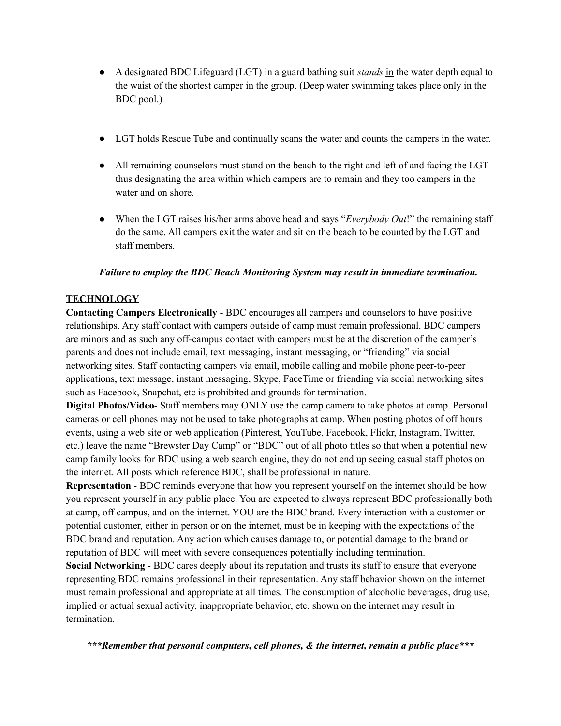- A designated BDC Lifeguard (LGT) in a guard bathing suit *stands* in the water depth equal to the waist of the shortest camper in the group. (Deep water swimming takes place only in the BDC pool.)
- LGT holds Rescue Tube and continually scans the water and counts the campers in the water.
- All remaining counselors must stand on the beach to the right and left of and facing the LGT thus designating the area within which campers are to remain and they too campers in the water and on shore.
- When the LGT raises his/her arms above head and says "*Everybody Out*!" the remaining staff do the same. All campers exit the water and sit on the beach to be counted by the LGT and staff members*.*

## *Failure to employ the BDC Beach Monitoring System may result in immediate termination.*

### **TECHNOLOGY**

**Contacting Campers Electronically** - BDC encourages all campers and counselors to have positive relationships. Any staff contact with campers outside of camp must remain professional. BDC campers are minors and as such any off-campus contact with campers must be at the discretion of the camper's parents and does not include email, text messaging, instant messaging, or "friending" via social networking sites. Staff contacting campers via email, mobile calling and mobile phone peer-to-peer applications, text message, instant messaging, Skype, FaceTime or friending via social networking sites such as Facebook, Snapchat, etc is prohibited and grounds for termination.

**Digital Photos/Video**- Staff members may ONLY use the camp camera to take photos at camp. Personal cameras or cell phones may not be used to take photographs at camp. When posting photos of off hours events, using a web site or web application (Pinterest, YouTube, Facebook, Flickr, Instagram, Twitter, etc.) leave the name "Brewster Day Camp" or "BDC" out of all photo titles so that when a potential new camp family looks for BDC using a web search engine, they do not end up seeing casual staff photos on the internet. All posts which reference BDC, shall be professional in nature.

**Representation** - BDC reminds everyone that how you represent yourself on the internet should be how you represent yourself in any public place. You are expected to always represent BDC professionally both at camp, off campus, and on the internet. YOU are the BDC brand. Every interaction with a customer or potential customer, either in person or on the internet, must be in keeping with the expectations of the BDC brand and reputation. Any action which causes damage to, or potential damage to the brand or reputation of BDC will meet with severe consequences potentially including termination.

**Social Networking** - BDC cares deeply about its reputation and trusts its staff to ensure that everyone representing BDC remains professional in their representation. Any staff behavior shown on the internet must remain professional and appropriate at all times. The consumption of alcoholic beverages, drug use, implied or actual sexual activity, inappropriate behavior, etc. shown on the internet may result in termination.

*\*\*\*Remember that personal computers, cell phones, & the internet, remain a public place\*\*\**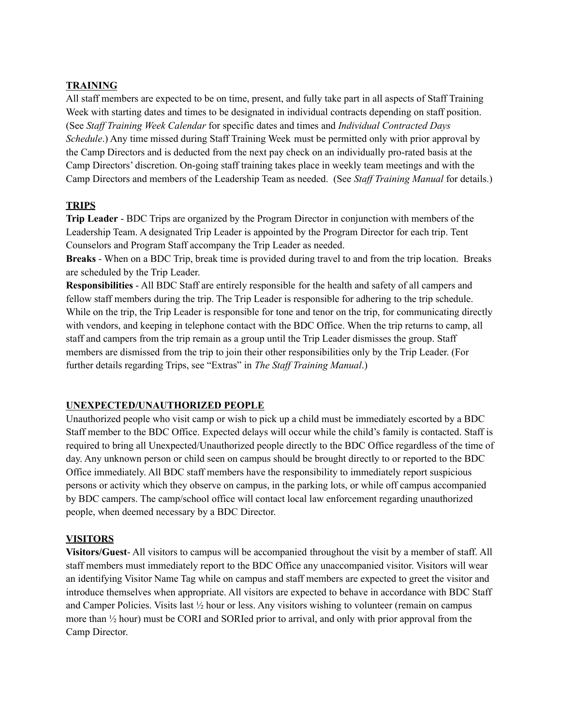# **TRAINING**

All staff members are expected to be on time, present, and fully take part in all aspects of Staff Training Week with starting dates and times to be designated in individual contracts depending on staff position. (See *Staf Training Week Calendar* for specific dates and times and *Individual Contracted Days Schedule*.) Any time missed during Staff Training Week must be permitted only with prior approval by the Camp Directors and is deducted from the next pay check on an individually pro-rated basis at the Camp Directors' discretion. On-going staff training takes place in weekly team meetings and with the Camp Directors and members of the Leadership Team as needed. (See *Staf Training Manual* for details.)

### **TRIPS**

**Trip Leader** - BDC Trips are organized by the Program Director in conjunction with members of the Leadership Team. A designated Trip Leader is appointed by the Program Director for each trip. Tent Counselors and Program Staff accompany the Trip Leader as needed.

**Breaks** - When on a BDC Trip, break time is provided during travel to and from the trip location. Breaks are scheduled by the Trip Leader.

**Responsibilities** - All BDC Staff are entirely responsible for the health and safety of all campers and fellow staff members during the trip. The Trip Leader is responsible for adhering to the trip schedule. While on the trip, the Trip Leader is responsible for tone and tenor on the trip, for communicating directly with vendors, and keeping in telephone contact with the BDC Office. When the trip returns to camp, all staff and campers from the trip remain as a group until the Trip Leader dismisses the group. Staff members are dismissed from the trip to join their other responsibilities only by the Trip Leader. (For further details regarding Trips, see "Extras" in *The Staf Training Manual*.)

## **UNEXPECTED/UNAUTHORIZED PEOPLE**

Unauthorized people who visit camp or wish to pick up a child must be immediately escorted by a BDC Staff member to the BDC Office. Expected delays will occur while the child's family is contacted. Staff is required to bring all Unexpected/Unauthorized people directly to the BDC Office regardless of the time of day. Any unknown person or child seen on campus should be brought directly to or reported to the BDC Office immediately. All BDC staff members have the responsibility to immediately report suspicious persons or activity which they observe on campus, in the parking lots, or while off campus accompanied by BDC campers. The camp/school office will contact local law enforcement regarding unauthorized people, when deemed necessary by a BDC Director.

## **VISITORS**

**Visitors/Guest**- All visitors to campus will be accompanied throughout the visit by a member of staff. All staff members must immediately report to the BDC Office any unaccompanied visitor. Visitors will wear an identifying Visitor Name Tag while on campus and staff members are expected to greet the visitor and introduce themselves when appropriate. All visitors are expected to behave in accordance with BDC Staff and Camper Policies. Visits last ½ hour or less. Any visitors wishing to volunteer (remain on campus more than ½ hour) must be CORI and SORIed prior to arrival, and only with prior approval from the Camp Director.